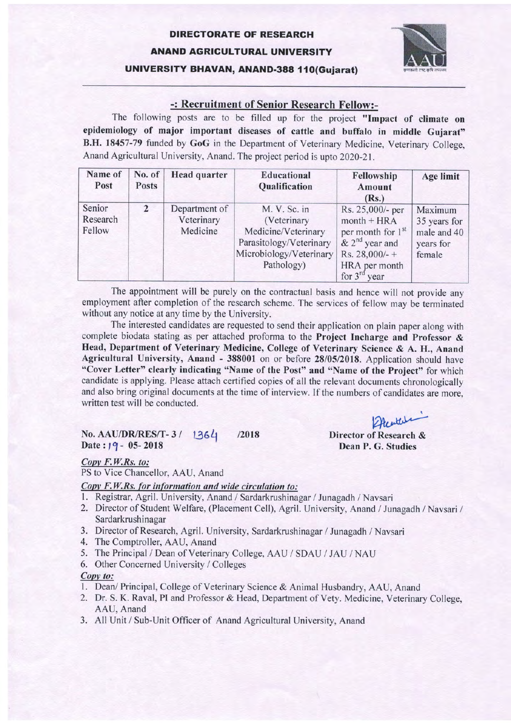## DIREGTORATE OF RESEARGH ANAND AGRIGULTURAL UNIVERSITY UNIVERSITY BHAVAN, ANAND-388 110(Gujarat)



### -: Recruitment of Senior Research Fellow:-

The following posts are to be filled up for the project "Impact of climate on epidemiology of major important diseases of cattle and buffalo in middle Gujarat" B.H. 18457-79 funded by GoG in the Department of Veterinary Medicine, Veterinary College, Anand Agricultural University, Anand. The project period is upto ZO2O-21.

| Name of<br>Post              | No. of<br><b>Posts</b> | <b>Head quarter</b>                     | <b>Educational</b><br>Qualification                                                                                    | Fellowship<br>Amount<br>(Rs.)                                                                                                                    | Age limit                                                     |
|------------------------------|------------------------|-----------------------------------------|------------------------------------------------------------------------------------------------------------------------|--------------------------------------------------------------------------------------------------------------------------------------------------|---------------------------------------------------------------|
| Senior<br>Research<br>Fellow | $\overline{2}$         | Department of<br>Veterinary<br>Medicine | M. V. Sc. in<br>(Veterinary<br>Medicine/Veterinary<br>Parasitology/Veterinary<br>Microbiology/Veterinary<br>Pathology) | Rs. 25,000/- per<br>$month + HRA$<br>per month for 1 <sup>st</sup><br>$& 2nd$ year and<br>Rs. $28,000/$ -+<br>HRA per month<br>for $3^{rd}$ year | Maximum<br>35 years for<br>male and 40<br>years for<br>female |

The appointment will be purely on the contractual basis and hence will not provide any employment after completion of the research scheme. The services of fellow may be terminated without any notice at any time by the University.

The interested candidates are requested to send their application on plain paper along with complete biodata stating as per attached proforma to the Project Incharge and Professor & Head, Department of Veterinary Medicine, College of Veterinary Science & A. H., Anand Agricultural University, Anand - 388001 on or before 28/05/2018. Application should have "Cover Letter" clearly indicating "Name of the Post" and "Name of the Project" for which candidate is applying. Please attach certified copies of all the relevant documents chronologically and also bring original documents at the time of interview. If the numbers of candidates are more, written test will be conducted.

#### No. AAU/DR/RES/T-3/ 1364 /2018 Date:  $19 - 05 - 2018$

2 Pee enter

Director of Research & Dean P. G. Studies

#### Copy F.W.Rs. to:

PS to Vice Chancellor, AAU, Anand

#### Copy F.W.Rs. for information and wide circulation to:

- 1. Registrar, Agril. University, Anand / Sardarkrushinagar / Junagadh / Navsari
- 2. Director of Student Welfare, (Placement Cell), Agril. University, Anand / Junagadh / Navsari / Sardarkrushinagar
- 3. Director of Research, Agril. University. Sardarkrushinagar / Junagadh / Navsari
- 4. The Comptroller, AAU, Anand
- 5. The Principal / Dean of Veterinary College, AAU / SDAU / JAU / NAU
- 6. Other Concerned University / Colleges

#### Copy to:

- l. Dean/ Principal, College of Veterinary Science & Animal Husbandry, AAU, Anand
- 2. Dr. S. K. Raval, PI and Professor & Head, Department of Vety. Medicine, Veterinary College, AAU, Anand
- 3. All Unit / Sub-Unit Officer of Anand Agricultural University, Anand